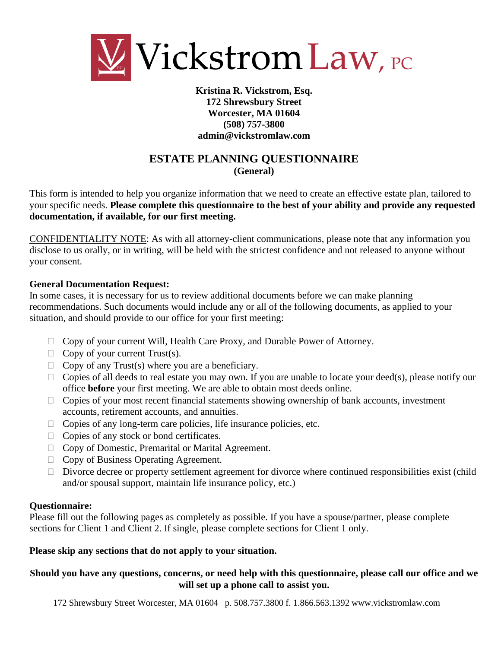

### **Kristina R. Vickstrom, Esq. 172 Shrewsbury Street Worcester, MA 01604 (508) 757-3800 admin@vickstromlaw.com**

### **ESTATE PLANNING QUESTIONNAIRE (General)**

This form is intended to help you organize information that we need to create an effective estate plan, tailored to your specific needs. **Please complete this questionnaire to the best of your ability and provide any requested documentation, if available, for our first meeting.**

CONFIDENTIALITY NOTE: As with all attorney-client communications, please note that any information you disclose to us orally, or in writing, will be held with the strictest confidence and not released to anyone without your consent.

### **General Documentation Request:**

In some cases, it is necessary for us to review additional documents before we can make planning recommendations. Such documents would include any or all of the following documents, as applied to your situation, and should provide to our office for your first meeting:

- $\Box$  Copy of your current Will, Health Care Proxy, and Durable Power of Attorney.
- $\Box$  Copy of your current Trust(s).
- $\Box$  Copy of any Trust(s) where you are a beneficiary.
- $\Box$  Copies of all deeds to real estate you may own. If you are unable to locate your deed(s), please notify our office **before** your first meeting. We are able to obtain most deeds online.
- $\Box$  Copies of your most recent financial statements showing ownership of bank accounts, investment accounts, retirement accounts, and annuities.
- $\Box$  Copies of any long-term care policies, life insurance policies, etc.
- $\Box$  Copies of any stock or bond certificates.
- $\Box$  Copy of Domestic, Premarital or Marital Agreement.
- □ Copy of Business Operating Agreement.
- $\Box$  Divorce decree or property settlement agreement for divorce where continued responsibilities exist (child and/or spousal support, maintain life insurance policy, etc.)

### **Questionnaire:**

Please fill out the following pages as completely as possible. If you have a spouse/partner, please complete sections for Client 1 and Client 2. If single, please complete sections for Client 1 only.

### **Please skip any sections that do not apply to your situation.**

### **Should you have any questions, concerns, or need help with this questionnaire, please call our office and we will set up a phone call to assist you.**

172 Shrewsbury Street Worcester, MA 01604 p. 508.757.3800 f. 1.866.563.1392 www.vickstromlaw.com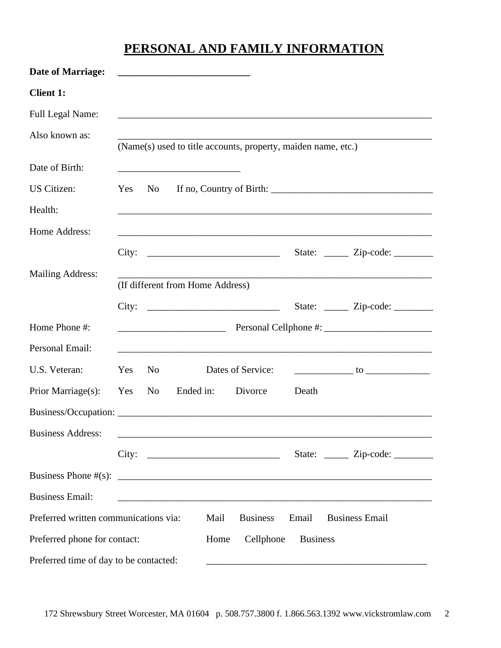# **PERSONAL AND FAMILY INFORMATION**

| <b>Date of Marriage:</b>               |     |                | <u> 1989 - Johann Stein, mars an deutscher Stein und der Stein und der Stein und der Stein und der Stein und der</u> |                   |                 |                                                                                  |
|----------------------------------------|-----|----------------|----------------------------------------------------------------------------------------------------------------------|-------------------|-----------------|----------------------------------------------------------------------------------|
| <b>Client 1:</b>                       |     |                |                                                                                                                      |                   |                 |                                                                                  |
| <b>Full Legal Name:</b>                |     |                |                                                                                                                      |                   |                 | ,我们也不会有什么。""我们的人,我们也不会有什么?""我们的人,我们也不会有什么?""我们的人,我们也不会有什么?""我们的人,我们也不会有什么?""我们的人 |
| Also known as:                         |     |                | (Name(s) used to title accounts, property, maiden name, etc.)                                                        |                   |                 |                                                                                  |
| Date of Birth:                         |     |                | <u> 1980 - Johann John Stone, mars eta biztanleria (h. 1980).</u>                                                    |                   |                 |                                                                                  |
| US Citizen:                            | Yes | No             |                                                                                                                      |                   |                 |                                                                                  |
| Health:                                |     |                |                                                                                                                      |                   |                 |                                                                                  |
| Home Address:                          |     |                |                                                                                                                      |                   |                 | ,我们也不会有什么。""我们的人,我们也不会有什么?""我们的人,我们也不会有什么?""我们的人,我们也不会有什么?""我们的人,我们也不会有什么?""我们的人 |
|                                        |     |                |                                                                                                                      |                   |                 |                                                                                  |
| <b>Mailing Address:</b>                |     |                |                                                                                                                      |                   |                 |                                                                                  |
|                                        |     |                | (If different from Home Address)                                                                                     |                   |                 |                                                                                  |
|                                        |     |                |                                                                                                                      |                   |                 | State: <u>_____</u> Zip-code: _______                                            |
| Home Phone #:                          |     |                |                                                                                                                      |                   |                 |                                                                                  |
| Personal Email:                        |     |                |                                                                                                                      |                   |                 |                                                                                  |
| U.S. Veteran:                          | Yes | No             |                                                                                                                      | Dates of Service: |                 | $\frac{1}{2}$ to $\frac{1}{2}$ to $\frac{1}{2}$ to $\frac{1}{2}$                 |
| Prior Marriage(s):                     | Yes | N <sub>0</sub> | Ended in:                                                                                                            | Divorce           | Death           |                                                                                  |
|                                        |     |                |                                                                                                                      |                   |                 |                                                                                  |
| <b>Business Address:</b>               |     |                |                                                                                                                      |                   |                 |                                                                                  |
|                                        |     |                | City: $\qquad \qquad$                                                                                                |                   |                 | State: <u>_____</u> Zip-code: _______                                            |
|                                        |     |                |                                                                                                                      |                   |                 |                                                                                  |
| <b>Business Email:</b>                 |     |                |                                                                                                                      |                   |                 |                                                                                  |
| Preferred written communications via:  |     |                | Mail                                                                                                                 | <b>Business</b>   | Email           | <b>Business Email</b>                                                            |
| Preferred phone for contact:           |     |                | Home                                                                                                                 | Cellphone         | <b>Business</b> |                                                                                  |
| Preferred time of day to be contacted: |     |                |                                                                                                                      |                   |                 |                                                                                  |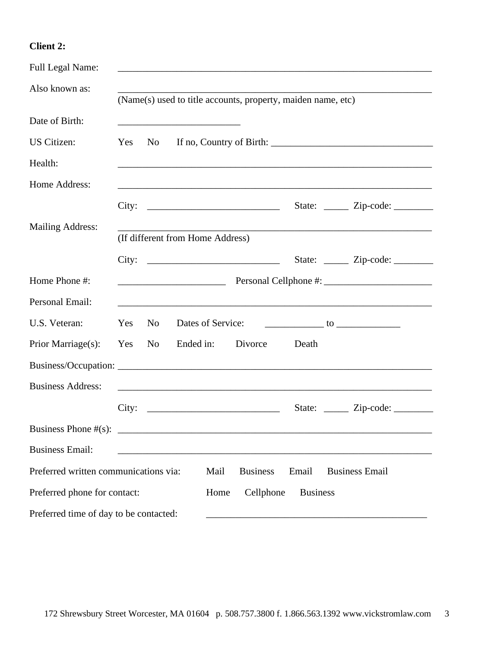### **Client 2:**

| <b>Full Legal Name:</b>                |     |                |                                                              |                 |                 |                                                                                                                  |
|----------------------------------------|-----|----------------|--------------------------------------------------------------|-----------------|-----------------|------------------------------------------------------------------------------------------------------------------|
| Also known as:                         |     |                | (Name(s) used to title accounts, property, maiden name, etc) |                 |                 |                                                                                                                  |
| Date of Birth:                         |     |                |                                                              |                 |                 |                                                                                                                  |
| US Citizen:                            | Yes | No             |                                                              |                 |                 |                                                                                                                  |
| Health:                                |     |                |                                                              |                 |                 |                                                                                                                  |
| Home Address:                          |     |                |                                                              |                 |                 |                                                                                                                  |
|                                        |     |                | City: $\qquad \qquad$                                        |                 |                 | State: <u>______</u> Zip-code: _________                                                                         |
| <b>Mailing Address:</b>                |     |                |                                                              |                 |                 | and the control of the control of the control of the control of the control of the control of the control of the |
|                                        |     |                | (If different from Home Address)                             |                 |                 |                                                                                                                  |
|                                        |     |                |                                                              |                 |                 | State: <u>_____</u> Zip-code: _______                                                                            |
| Home Phone #:                          |     |                |                                                              |                 |                 |                                                                                                                  |
| Personal Email:                        |     |                |                                                              |                 |                 |                                                                                                                  |
| U.S. Veteran:                          | Yes | N <sub>0</sub> | Dates of Service:                                            |                 |                 | $\frac{1}{2}$ to $\frac{1}{2}$ to $\frac{1}{2}$ to $\frac{1}{2}$                                                 |
| Prior Marriage(s):                     | Yes | N <sub>o</sub> | Ended in:                                                    | Divorce         | Death           |                                                                                                                  |
|                                        |     |                |                                                              |                 |                 |                                                                                                                  |
| <b>Business Address:</b>               |     |                |                                                              |                 |                 |                                                                                                                  |
|                                        |     |                | City:                                                        |                 |                 | State: <u>_____</u> Zip-code: _______                                                                            |
|                                        |     |                |                                                              |                 |                 |                                                                                                                  |
| <b>Business Email:</b>                 |     |                |                                                              |                 |                 |                                                                                                                  |
| Preferred written communications via:  |     |                | Mail                                                         | <b>Business</b> | Email           | <b>Business Email</b>                                                                                            |
| Preferred phone for contact:           |     |                | Home                                                         | Cellphone       | <b>Business</b> |                                                                                                                  |
| Preferred time of day to be contacted: |     |                |                                                              |                 |                 |                                                                                                                  |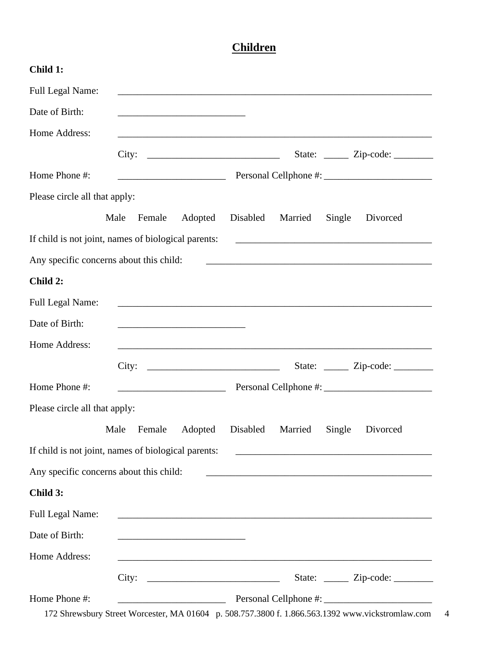## **Children**

| Child 1:                                |                                                                                                                        |          |                                                             |        |                                                                                                                      |
|-----------------------------------------|------------------------------------------------------------------------------------------------------------------------|----------|-------------------------------------------------------------|--------|----------------------------------------------------------------------------------------------------------------------|
| <b>Full Legal Name:</b>                 |                                                                                                                        |          |                                                             |        |                                                                                                                      |
| Date of Birth:                          |                                                                                                                        |          |                                                             |        |                                                                                                                      |
| Home Address:                           |                                                                                                                        |          |                                                             |        |                                                                                                                      |
|                                         |                                                                                                                        |          |                                                             |        |                                                                                                                      |
| Home Phone #:                           |                                                                                                                        |          |                                                             |        |                                                                                                                      |
| Please circle all that apply:           |                                                                                                                        |          |                                                             |        |                                                                                                                      |
|                                         | Male<br>Female<br>Adopted                                                                                              | Disabled | Married                                                     | Single | Divorced                                                                                                             |
|                                         | If child is not joint, names of biological parents:                                                                    |          |                                                             |        | <u> 1989 - Johann John Stone, markin film yn y brenin y brenin y brenin y brenin y brenin y brenin y brenin y br</u> |
| Any specific concerns about this child: |                                                                                                                        |          |                                                             |        |                                                                                                                      |
| Child 2:                                |                                                                                                                        |          |                                                             |        |                                                                                                                      |
| <b>Full Legal Name:</b>                 | ,我们也不会有什么。""我们的人,我们也不会有什么?""我们的人,我们也不会有什么?""我们的人,我们也不会有什么?""我们的人,我们也不会有什么?""我们的人                                       |          |                                                             |        |                                                                                                                      |
| Date of Birth:                          | <u> 1989 - Johann John Harry Harry Harry Harry Harry Harry Harry Harry Harry Harry Harry Harry Harry Harry Harry H</u> |          |                                                             |        |                                                                                                                      |
| Home Address:                           |                                                                                                                        |          |                                                             |        |                                                                                                                      |
|                                         | City:                                                                                                                  |          |                                                             |        | State: <u>______</u> Zip-code: _________                                                                             |
| Home Phone #:                           | <u> 2002 - Jan Barnett, fransk politik (d. 18</u>                                                                      |          |                                                             |        |                                                                                                                      |
| Please circle all that apply:           |                                                                                                                        |          |                                                             |        |                                                                                                                      |
|                                         | Female<br>Adopted<br>Male                                                                                              | Disabled | Married                                                     | Single | Divorced                                                                                                             |
|                                         | If child is not joint, names of biological parents:                                                                    |          | <u> 1989 - Johann Stoff, amerikansk politiker (d. 1989)</u> |        |                                                                                                                      |
| Any specific concerns about this child: |                                                                                                                        |          |                                                             |        |                                                                                                                      |
| Child 3:                                |                                                                                                                        |          |                                                             |        |                                                                                                                      |
| Full Legal Name:                        | and the control of the control of the control of the control of the control of the control of the control of the       |          |                                                             |        |                                                                                                                      |
| Date of Birth:                          | <u> 1989 - Johann Barbara, martxa al III-lea (h. 1989).</u>                                                            |          |                                                             |        |                                                                                                                      |
| Home Address:                           | <u> 1989 - Johann John Harry Harry Harry Harry Harry Harry Harry Harry Harry Harry Harry Harry Harry Harry Harry</u>   |          |                                                             |        |                                                                                                                      |
|                                         | City: $\qquad \qquad$                                                                                                  |          |                                                             |        | State: <u>______</u> Zip-code: _________                                                                             |
| Home Phone #:                           | 172 Shrewsbury Street Worcester, MA 01604 p. 508.757.3800 f. 1.866.563.1392 www.vickstromlaw.com                       |          |                                                             |        |                                                                                                                      |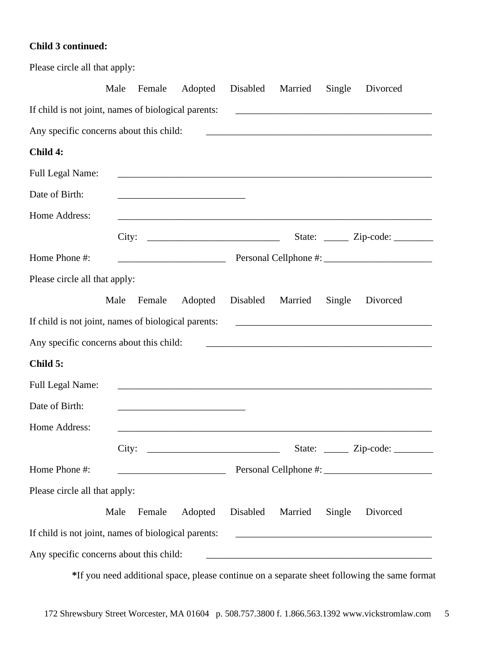### **Child 3 continued:**

| Please circle all that apply:                       |      |        |                                                                     |          |         |        |                                                                                                                      |
|-----------------------------------------------------|------|--------|---------------------------------------------------------------------|----------|---------|--------|----------------------------------------------------------------------------------------------------------------------|
|                                                     | Male | Female | Adopted                                                             | Disabled | Married | Single | Divorced                                                                                                             |
| If child is not joint, names of biological parents: |      |        |                                                                     |          |         |        | <u> 1989 - Andrea Santa Andrea Santa Andrea Santa Andrea Santa Andrea Santa Andrea Santa Andrea Santa Andrea San</u> |
| Any specific concerns about this child:             |      |        |                                                                     |          |         |        | <u> 2000 - Jan James James Barnett, amerikansk politik (d. 1888)</u>                                                 |
| Child 4:                                            |      |        |                                                                     |          |         |        |                                                                                                                      |
| <b>Full Legal Name:</b>                             |      |        | <u> 1989 - Johann John Stone, markin amerikan bestema (j. 1989)</u> |          |         |        |                                                                                                                      |
| Date of Birth:                                      |      |        |                                                                     |          |         |        |                                                                                                                      |
| Home Address:                                       |      |        |                                                                     |          |         |        |                                                                                                                      |
|                                                     |      |        | City:                                                               |          |         |        | State: <u>_____</u> Zip-code: _______                                                                                |
| Home Phone #:                                       |      |        |                                                                     |          |         |        |                                                                                                                      |
| Please circle all that apply:                       |      |        |                                                                     |          |         |        |                                                                                                                      |
|                                                     | Male | Female | Adopted                                                             | Disabled | Married | Single | Divorced                                                                                                             |
| If child is not joint, names of biological parents: |      |        |                                                                     |          |         |        | <u> 1989 - Johann Barbara, martxa alemaniar arg</u>                                                                  |
| Any specific concerns about this child:             |      |        |                                                                     |          |         |        |                                                                                                                      |
| Child 5:                                            |      |        |                                                                     |          |         |        |                                                                                                                      |
| <b>Full Legal Name:</b>                             |      |        |                                                                     |          |         |        |                                                                                                                      |
| Date of Birth:                                      |      |        |                                                                     |          |         |        |                                                                                                                      |
| Home Address:                                       |      |        |                                                                     |          |         |        |                                                                                                                      |
|                                                     |      |        | City:                                                               |          |         |        | State: <u>_____</u> Zip-code: _______                                                                                |
| Home Phone #:                                       |      |        |                                                                     |          |         |        |                                                                                                                      |
| Please circle all that apply:                       |      |        |                                                                     |          |         |        |                                                                                                                      |
|                                                     | Male | Female | Adopted Disabled                                                    |          | Married | Single | Divorced                                                                                                             |
| If child is not joint, names of biological parents: |      |        |                                                                     |          |         |        |                                                                                                                      |
| Any specific concerns about this child:             |      |        |                                                                     |          |         |        |                                                                                                                      |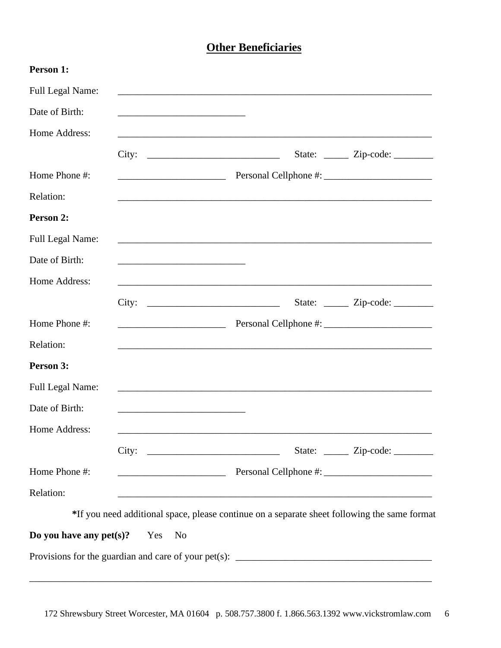## **Other Beneficiaries**

| Person 1:                      |                                               |                                                                                              |                                       |
|--------------------------------|-----------------------------------------------|----------------------------------------------------------------------------------------------|---------------------------------------|
| Full Legal Name:               |                                               |                                                                                              |                                       |
| Date of Birth:                 |                                               |                                                                                              |                                       |
| Home Address:                  |                                               |                                                                                              |                                       |
|                                |                                               | City:                                                                                        | State: <u>_____</u> Zip-code: _______ |
| Home Phone #:                  |                                               |                                                                                              |                                       |
| Relation:                      |                                               | ,我们也不会有什么。""我们的人,我们也不会有什么?""我们的人,我们也不会有什么?""我们的人,我们也不会有什么?""我们的人,我们也不会有什么?""我们的人             |                                       |
| Person 2:                      |                                               |                                                                                              |                                       |
| Full Legal Name:               |                                               |                                                                                              |                                       |
| Date of Birth:                 |                                               |                                                                                              |                                       |
| Home Address:                  |                                               |                                                                                              |                                       |
|                                |                                               |                                                                                              | State: <u>_____</u> Zip-code: _______ |
| Home Phone #:                  |                                               |                                                                                              |                                       |
| Relation:                      |                                               |                                                                                              |                                       |
| Person 3:                      |                                               |                                                                                              |                                       |
| Full Legal Name:               |                                               |                                                                                              |                                       |
| Date of Birth:                 |                                               |                                                                                              |                                       |
| Home Address:                  |                                               |                                                                                              |                                       |
|                                |                                               | City:                                                                                        | State: <u>_____</u> Zip-code: _______ |
| Home Phone #:                  | <u> 2000 - Jan Samuel Barbara, poeta esta</u> |                                                                                              |                                       |
| Relation:                      |                                               |                                                                                              |                                       |
|                                |                                               | *If you need additional space, please continue on a separate sheet following the same format |                                       |
| Do you have any $pet(s)$ ? Yes | N <sub>0</sub>                                |                                                                                              |                                       |
|                                |                                               | Provisions for the guardian and care of your pet(s): ____________________________            |                                       |

\_\_\_\_\_\_\_\_\_\_\_\_\_\_\_\_\_\_\_\_\_\_\_\_\_\_\_\_\_\_\_\_\_\_\_\_\_\_\_\_\_\_\_\_\_\_\_\_\_\_\_\_\_\_\_\_\_\_\_\_\_\_\_\_\_\_\_\_\_\_\_\_\_\_\_\_\_\_\_\_\_\_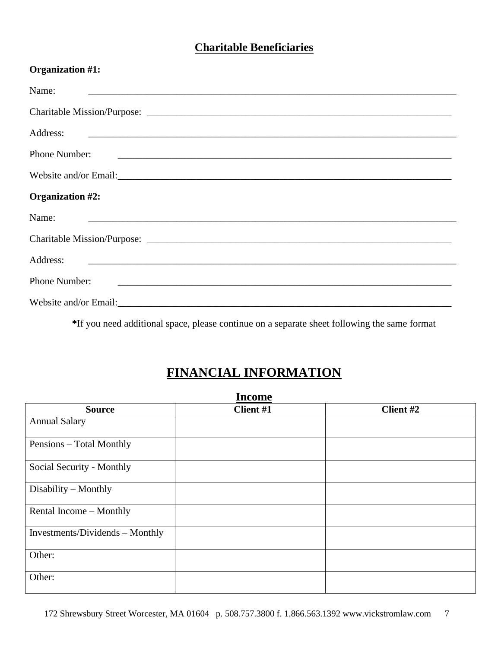## **Charitable Beneficiaries**

| Organization #1:                                                                                                                     |
|--------------------------------------------------------------------------------------------------------------------------------------|
| Name:<br><u> 1980 - Jan Alexander de Barbara, amerikan bernama di sebagai bernama dan bernama di sebagai bernama di sebagai</u>      |
|                                                                                                                                      |
|                                                                                                                                      |
| Phone Number:                                                                                                                        |
|                                                                                                                                      |
| Organization #2:                                                                                                                     |
| Name:<br><u> 1980 - Johann Stoff, deutscher Stoff, der Stoff, der Stoff, der Stoff, der Stoff, der Stoff, der Stoff, der S</u>       |
|                                                                                                                                      |
| Address:<br><u> 1988 - Jan Barbara, martxa al III-lea (h. 1988).</u><br>1905 - Carl Britain, frantziar martxa eta batarra (h. 1908). |
| Phone Number:<br><u> 1980 - Jan Barbara, martxa al III-lea (h. 1980).</u><br>Notae                                                   |
|                                                                                                                                      |

**\***If you need additional space, please continue on a separate sheet following the same format

# **FINANCIAL INFORMATION**

| <b>Income</b>                   |           |           |  |  |  |
|---------------------------------|-----------|-----------|--|--|--|
| <b>Source</b>                   | Client #1 | Client #2 |  |  |  |
| <b>Annual Salary</b>            |           |           |  |  |  |
| Pensions – Total Monthly        |           |           |  |  |  |
| Social Security - Monthly       |           |           |  |  |  |
| Disability - Monthly            |           |           |  |  |  |
| Rental Income - Monthly         |           |           |  |  |  |
| Investments/Dividends - Monthly |           |           |  |  |  |
| Other:                          |           |           |  |  |  |
| Other:                          |           |           |  |  |  |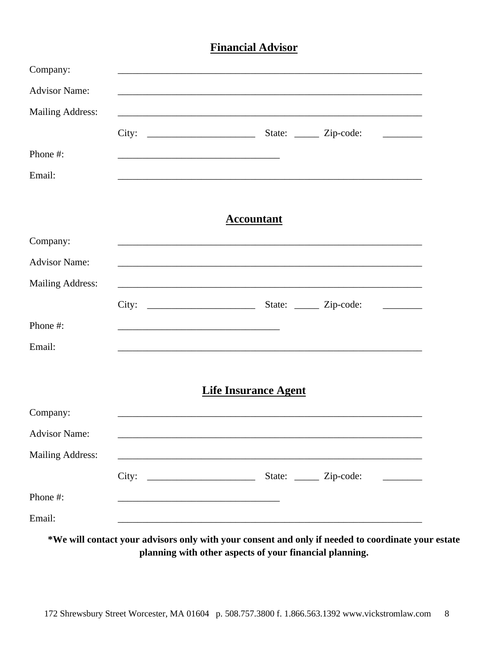### **Financial Advisor**

| Company:                |                                                                                                                       |                             |                                                                                   |                         |
|-------------------------|-----------------------------------------------------------------------------------------------------------------------|-----------------------------|-----------------------------------------------------------------------------------|-------------------------|
| <b>Advisor Name:</b>    |                                                                                                                       |                             |                                                                                   |                         |
| <b>Mailing Address:</b> |                                                                                                                       |                             | ,我们也不能在这里的时候,我们也不能在这里的时候,我们也不能会在这里的时候,我们也不能会在这里的时候,我们也不能会在这里的时候,我们也不能会在这里的时候,我们也不 |                         |
|                         |                                                                                                                       |                             |                                                                                   | <u> 1999 - Jan Jawa</u> |
| Phone#:                 |                                                                                                                       |                             |                                                                                   |                         |
| Email:                  |                                                                                                                       |                             |                                                                                   |                         |
|                         |                                                                                                                       | <b>Accountant</b>           |                                                                                   |                         |
| Company:                |                                                                                                                       |                             |                                                                                   |                         |
| <b>Advisor Name:</b>    |                                                                                                                       |                             |                                                                                   |                         |
| Mailing Address:        |                                                                                                                       |                             |                                                                                   |                         |
|                         |                                                                                                                       |                             |                                                                                   |                         |
| Phone #:                |                                                                                                                       |                             |                                                                                   |                         |
| Email:                  |                                                                                                                       |                             | ,我们也不能在这里的时候,我们也不能在这里的时候,我们也不能会在这里的时候,我们也不能会在这里的时候,我们也不能会在这里的时候,我们也不能会在这里的时候,我们也不 |                         |
|                         |                                                                                                                       | <b>Life Insurance Agent</b> |                                                                                   |                         |
| Company:                |                                                                                                                       |                             |                                                                                   |                         |
| <b>Advisor Name:</b>    |                                                                                                                       |                             |                                                                                   |                         |
| <b>Mailing Address:</b> |                                                                                                                       |                             |                                                                                   |                         |
|                         | City:                                                                                                                 |                             | State: <u>______</u> Zip-code:                                                    |                         |
| Phone #:                | <u> 1990 - Johann John Harry, mars and deutscher Amerikaanse kommen van de Europa van de Europa van de Europa van</u> |                             |                                                                                   |                         |
| Email:                  |                                                                                                                       |                             |                                                                                   |                         |

\*We will contact your advisors only with your consent and only if needed to coordinate your estate planning with other aspects of your financial planning.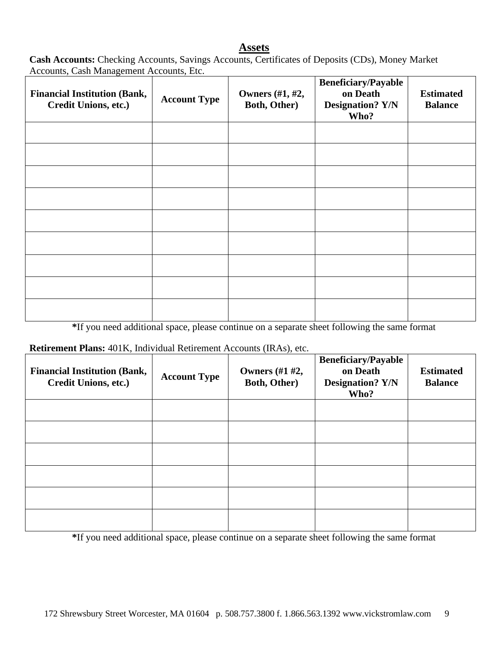### **Assets**

**Cash Accounts:** Checking Accounts, Savings Accounts, Certificates of Deposits (CDs), Money Market Accounts, Cash Management Accounts, Etc.

| <b>Financial Institution (Bank,</b><br>Credit Unions, etc.) | <b>Account Type</b> | <b>Owners</b> (#1, #2,<br>Both, Other) | <b>Beneficiary/Payable</b><br>on Death<br><b>Designation? Y/N</b><br>Who? | <b>Estimated</b><br><b>Balance</b> |
|-------------------------------------------------------------|---------------------|----------------------------------------|---------------------------------------------------------------------------|------------------------------------|
|                                                             |                     |                                        |                                                                           |                                    |
|                                                             |                     |                                        |                                                                           |                                    |
|                                                             |                     |                                        |                                                                           |                                    |
|                                                             |                     |                                        |                                                                           |                                    |
|                                                             |                     |                                        |                                                                           |                                    |
|                                                             |                     |                                        |                                                                           |                                    |
|                                                             |                     |                                        |                                                                           |                                    |
|                                                             |                     |                                        |                                                                           |                                    |
|                                                             |                     |                                        |                                                                           |                                    |

**\***If you need additional space, please continue on a separate sheet following the same format

#### **Retirement Plans:** 401K, Individual Retirement Accounts (IRAs), etc.

| <b>Financial Institution (Bank,</b><br><b>Credit Unions, etc.)</b> | <b>Account Type</b> | <b>Owners</b> (#1 #2,<br>Both, Other) | <b>Beneficiary/Payable</b><br>on Death<br><b>Designation? Y/N</b><br>Who? | <b>Estimated</b><br><b>Balance</b> |
|--------------------------------------------------------------------|---------------------|---------------------------------------|---------------------------------------------------------------------------|------------------------------------|
|                                                                    |                     |                                       |                                                                           |                                    |
|                                                                    |                     |                                       |                                                                           |                                    |
|                                                                    |                     |                                       |                                                                           |                                    |
|                                                                    |                     |                                       |                                                                           |                                    |
|                                                                    |                     |                                       |                                                                           |                                    |
|                                                                    |                     |                                       |                                                                           |                                    |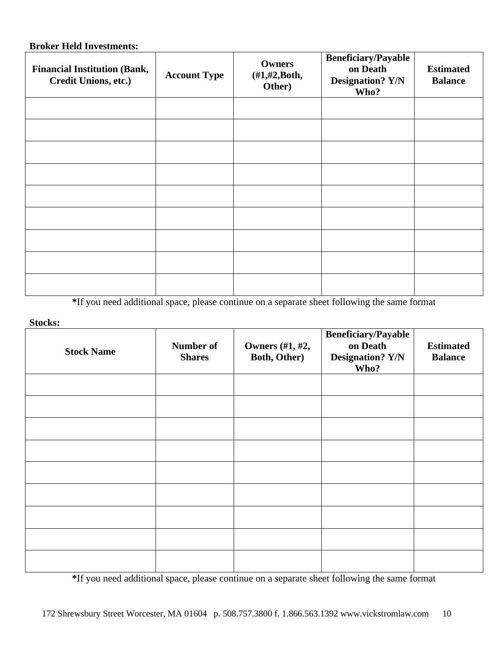### **Broker Held Investments:**

| <b>Financial Institution (Bank,</b><br>Credit Unions, etc.) | <b>Account Type</b> | <b>Owners</b><br>$(\#1,\#2,\text{Both},$<br>Other) | <b>Beneficiary/Payable</b><br>on Death<br><b>Designation? Y/N</b><br>Who? | <b>Estimated</b><br><b>Balance</b> |
|-------------------------------------------------------------|---------------------|----------------------------------------------------|---------------------------------------------------------------------------|------------------------------------|
|                                                             |                     |                                                    |                                                                           |                                    |
|                                                             |                     |                                                    |                                                                           |                                    |
|                                                             |                     |                                                    |                                                                           |                                    |
|                                                             |                     |                                                    |                                                                           |                                    |
|                                                             |                     |                                                    |                                                                           |                                    |
|                                                             |                     |                                                    |                                                                           |                                    |
|                                                             |                     |                                                    |                                                                           |                                    |
|                                                             |                     |                                                    |                                                                           |                                    |
|                                                             |                     |                                                    |                                                                           |                                    |

**\***If you need additional space, please continue on a separate sheet following the same format

**Stocks:**

| <b>Stock Name</b> | Number of<br><b>Shares</b> | <b>Owners</b> (#1, #2,<br>Both, Other) | <b>Beneficiary/Payable</b><br>on Death<br><b>Designation? Y/N</b><br>Who? | <b>Estimated</b><br><b>Balance</b> |
|-------------------|----------------------------|----------------------------------------|---------------------------------------------------------------------------|------------------------------------|
|                   |                            |                                        |                                                                           |                                    |
|                   |                            |                                        |                                                                           |                                    |
|                   |                            |                                        |                                                                           |                                    |
|                   |                            |                                        |                                                                           |                                    |
|                   |                            |                                        |                                                                           |                                    |
|                   |                            |                                        |                                                                           |                                    |
|                   |                            |                                        |                                                                           |                                    |
|                   |                            |                                        |                                                                           |                                    |
|                   |                            |                                        |                                                                           |                                    |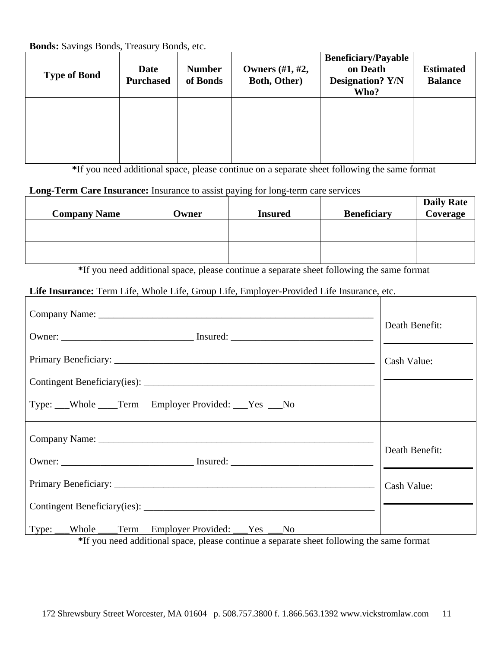**Bonds:** Savings Bonds, Treasury Bonds, etc.

| <b>Type of Bond</b> | Date<br><b>Purchased</b> | <b>Number</b><br>of Bonds | Owners $(\#1, \#2,$<br><b>Both, Other)</b> | <b>Beneficiary/Payable</b><br>on Death<br><b>Designation? Y/N</b><br>Who? | <b>Estimated</b><br><b>Balance</b> |
|---------------------|--------------------------|---------------------------|--------------------------------------------|---------------------------------------------------------------------------|------------------------------------|
|                     |                          |                           |                                            |                                                                           |                                    |
|                     |                          |                           |                                            |                                                                           |                                    |
|                     |                          |                           |                                            |                                                                           |                                    |

**\***If you need additional space, please continue on a separate sheet following the same format

### **Long-Term Care Insurance:** Insurance to assist paying for long-term care services

| <b>Company Name</b> | Owner | <b>Insured</b> | <b>Beneficiary</b> | <b>Daily Rate</b><br>Coverage |
|---------------------|-------|----------------|--------------------|-------------------------------|
|                     |       |                |                    |                               |
|                     |       |                |                    |                               |

**\***If you need additional space, please continue a separate sheet following the same format

### **Life Insurance:** Term Life, Whole Life, Group Life, Employer-Provided Life Insurance, etc.

|                                                                                                                                         | Death Benefit: |
|-----------------------------------------------------------------------------------------------------------------------------------------|----------------|
|                                                                                                                                         | Cash Value:    |
|                                                                                                                                         |                |
| Type: Whole ______Term Employer Provided: _____Yes ____No                                                                               |                |
|                                                                                                                                         |                |
|                                                                                                                                         | Death Benefit: |
|                                                                                                                                         | Cash Value:    |
|                                                                                                                                         |                |
| Type: Whole Term Employer Provided: Yes No<br>*If you need additional gness, places continue a separate sheet following the same formet |                |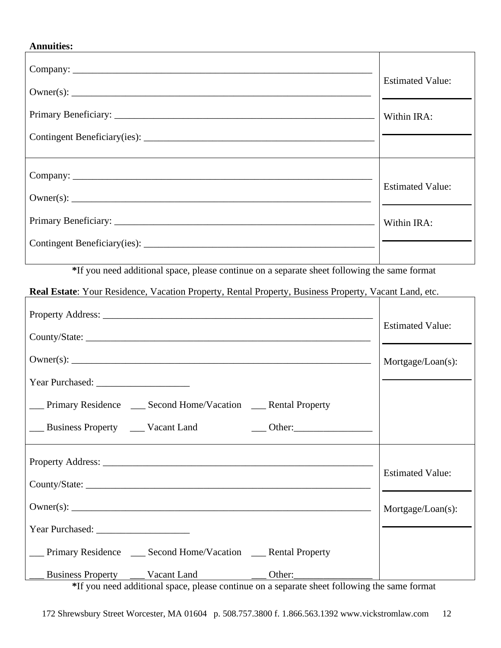### **Annuities:**

| <b>Estimated Value:</b> |
|-------------------------|
| Within IRA:             |
|                         |
| <b>Estimated Value:</b> |
| Within IRA:             |
|                         |

**\***If you need additional space, please continue on a separate sheet following the same format

**Real Estate**: Your Residence, Vacation Property, Rental Property, Business Property, Vacant Land, etc.

|                                                                 | <b>Estimated Value:</b> |
|-----------------------------------------------------------------|-------------------------|
|                                                                 |                         |
|                                                                 | Mortgage/Loan(s):       |
|                                                                 |                         |
| __ Primary Residence __ Second Home/Vacation __ Rental Property |                         |
|                                                                 |                         |
|                                                                 | <b>Estimated Value:</b> |
|                                                                 |                         |
|                                                                 | Mortgage/Loan(s):       |
|                                                                 |                         |
| __ Primary Residence __ Second Home/Vacation __ Rental Property |                         |
| Business Property Vacant Land Other:                            |                         |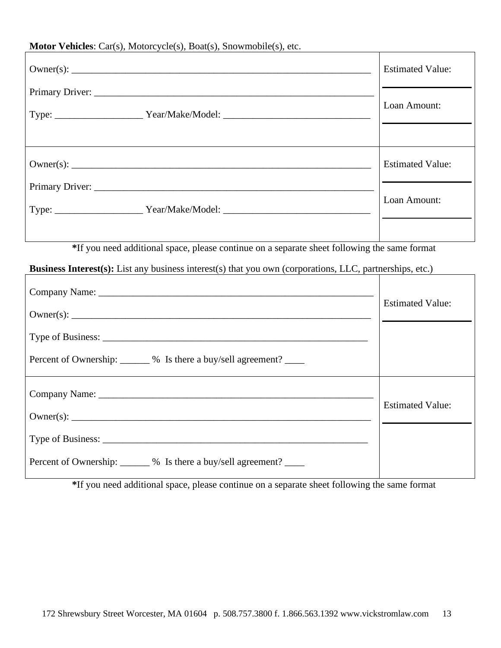### **Motor Vehicles**: Car(s), Motorcycle(s), Boat(s), Snowmobile(s), etc.

|                                                                                  | <b>Estimated Value:</b> |
|----------------------------------------------------------------------------------|-------------------------|
| Type: ________________________Year/Make/Model: _________________________________ | Loan Amount:            |
|                                                                                  |                         |
|                                                                                  | <b>Estimated Value:</b> |
| Primary Driver: 2008. [2016] Primary Driver:                                     |                         |
| Type: ________________________Year/Make/Model: _________________________________ | Loan Amount:            |
|                                                                                  |                         |

**\***If you need additional space, please continue on a separate sheet following the same format

### **Business Interest(s):** List any business interest(s) that you own (corporations, LLC, partnerships, etc.)

|                                                                      | <b>Estimated Value:</b> |
|----------------------------------------------------------------------|-------------------------|
|                                                                      |                         |
|                                                                      |                         |
| Percent of Ownership: _______ % Is there a buy/sell agreement? _____ |                         |
|                                                                      | <b>Estimated Value:</b> |
|                                                                      |                         |
|                                                                      |                         |
| Percent of Ownership: _______ % Is there a buy/sell agreement? _____ |                         |